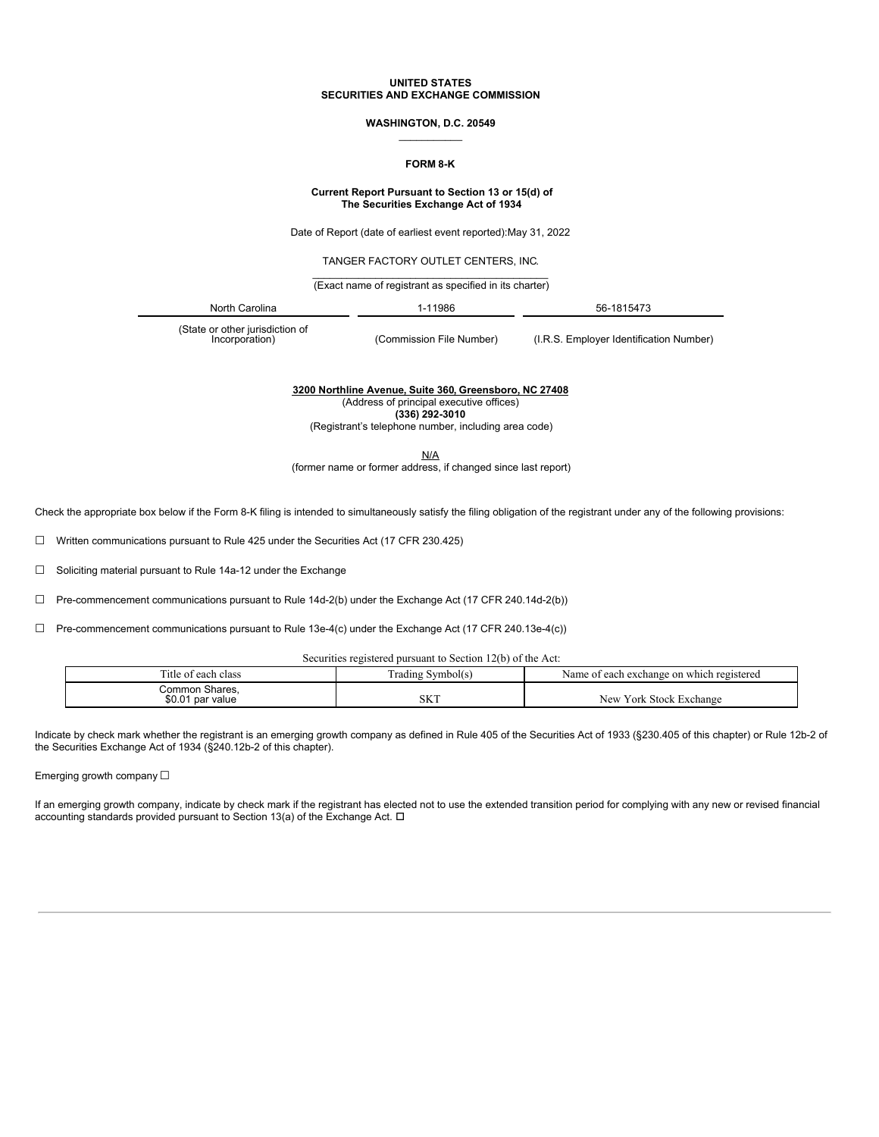#### **UNITED STATES SECURITIES AND EXCHANGE COMMISSION**

### **WASHINGTON, D.C. 20549**  $\overline{\phantom{a}}$

## **FORM 8-K**

#### **Current Report Pursuant to Section 13 or 15(d) of The Securities Exchange Act of 1934**

Date of Report (date of earliest event reported):May 31, 2022

TANGER FACTORY OUTLET CENTERS, INC.

\_\_\_\_\_\_\_\_\_\_\_\_\_\_\_\_\_\_\_\_\_\_\_\_\_\_\_\_\_\_\_\_\_\_\_\_\_\_\_\_\_ (Exact name of registrant as specified in its charter)

| Nı<br>. | י פ<br>וספ<br>. .<br>. |  |
|---------|------------------------|--|
|         |                        |  |

(State or other jurisdiction of<br>
lncorporation)

(Commission File Number) (I.R.S. Employer Identification Number)

**3200 Northline Avenue, Suite 360, Greensboro, NC 27408**

(Address of principal executive offices)

**(336) 292-3010**

(Registrant's telephone number, including area code)

N/A

(former name or former address, if changed since last report)

Check the appropriate box below if the Form 8-K filing is intended to simultaneously satisfy the filing obligation of the registrant under any of the following provisions:

☐ Written communications pursuant to Rule 425 under the Securities Act (17 CFR 230.425)

☐ Soliciting material pursuant to Rule 14a-12 under the Exchange

☐ Pre-commencement communications pursuant to Rule 14d-2(b) under the Exchange Act (17 CFR 240.14d-2(b))

☐ Pre-commencement communications pursuant to Rule 13e-4(c) under the Exchange Act (17 CFR 240.13e-4(c))

Securities registered pursuant to Section 12(b) of the Act:

| Title of each class                | Iradıng Svmbol(s) | Name of each exchange on which registered |
|------------------------------------|-------------------|-------------------------------------------|
| Common Shares.<br>\$0.01 par value | SKT               | New York Stock Exchange                   |

Indicate by check mark whether the registrant is an emerging growth company as defined in Rule 405 of the Securities Act of 1933 (§230.405 of this chapter) or Rule 12b-2 of the Securities Exchange Act of 1934 (§240.12b-2 of this chapter).

Emerging growth company  $\Box$ 

If an emerging growth company, indicate by check mark if the registrant has elected not to use the extended transition period for complying with any new or revised financial accounting standards provided pursuant to Section 13(a) of the Exchange Act.  $\Box$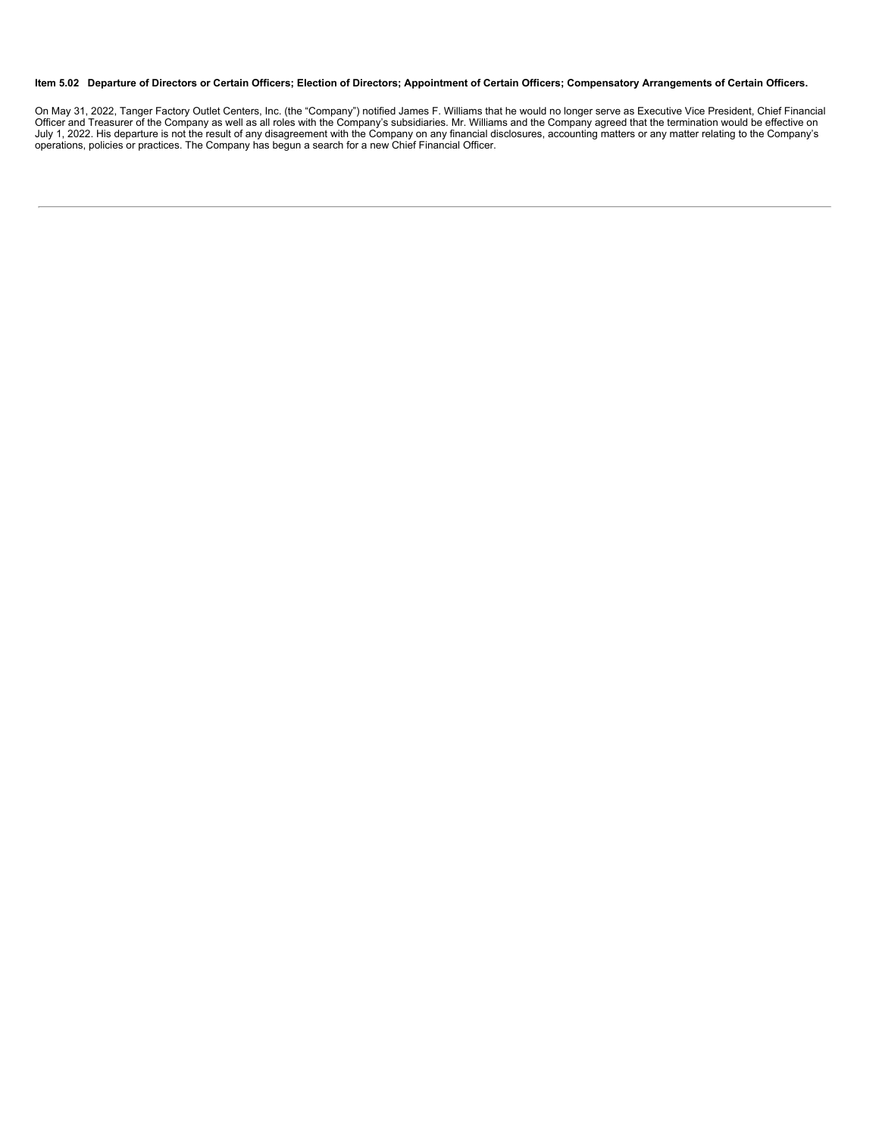### Item 5.02 Departure of Directors or Certain Officers; Election of Directors; Appointment of Certain Officers; Compensatory Arrangements of Certain Officers.

On May 31, 2022, Tanger Factory Outlet Centers, Inc. (the "Company") notified James F. Williams that he would no longer serve as Executive Vice President, Chief Financial<br>Officer and Treasurer of the Company as well as all